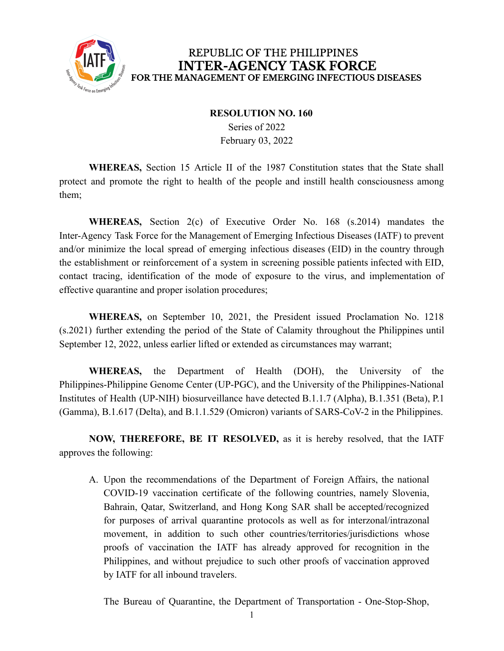

## REPUBLIC OF THE PHILIPPINES **INTER-AGENCY TASK FORCE** FOR THE MANAGEMENT OF EMERGING INFECTIOUS DISEASES

## **RESOLUTION NO. 160**

Series of 2022 February 03, 2022

**WHEREAS,** Section 15 Article II of the 1987 Constitution states that the State shall protect and promote the right to health of the people and instill health consciousness among them;

**WHEREAS,** Section 2(c) of Executive Order No. 168 (s.2014) mandates the Inter-Agency Task Force for the Management of Emerging Infectious Diseases (IATF) to prevent and/or minimize the local spread of emerging infectious diseases (EID) in the country through the establishment or reinforcement of a system in screening possible patients infected with EID, contact tracing, identification of the mode of exposure to the virus, and implementation of effective quarantine and proper isolation procedures;

**WHEREAS,** on September 10, 2021, the President issued Proclamation No. 1218 (s.2021) further extending the period of the State of Calamity throughout the Philippines until September 12, 2022, unless earlier lifted or extended as circumstances may warrant;

**WHEREAS,** the Department of Health (DOH), the University of the Philippines-Philippine Genome Center (UP-PGC), and the University of the Philippines-National Institutes of Health (UP-NIH) biosurveillance have detected B.1.1.7 (Alpha), B.1.351 (Beta), P.1 (Gamma), B.1.617 (Delta), and B.1.1.529 (Omicron) variants of SARS-CoV-2 in the Philippines.

**NOW, THEREFORE, BE IT RESOLVED,** as it is hereby resolved, that the IATF approves the following:

A. Upon the recommendations of the Department of Foreign Affairs, the national COVID-19 vaccination certificate of the following countries, namely Slovenia, Bahrain, Qatar, Switzerland, and Hong Kong SAR shall be accepted/recognized for purposes of arrival quarantine protocols as well as for interzonal/intrazonal movement, in addition to such other countries/territories/jurisdictions whose proofs of vaccination the IATF has already approved for recognition in the Philippines, and without prejudice to such other proofs of vaccination approved by IATF for all inbound travelers.

The Bureau of Quarantine, the Department of Transportation - One-Stop-Shop,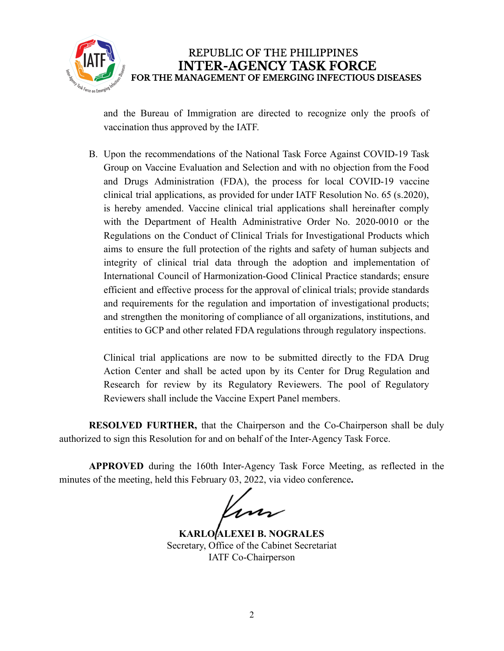

and the Bureau of Immigration are directed to recognize only the proofs of vaccination thus approved by the IATF.

B. Upon the recommendations of the National Task Force Against COVID-19 Task Group on Vaccine Evaluation and Selection and with no objection from the Food and Drugs Administration (FDA), the process for local COVID-19 vaccine clinical trial applications, as provided for under IATF Resolution No. 65 (s.2020), is hereby amended. Vaccine clinical trial applications shall hereinafter comply with the Department of Health Administrative Order No. 2020-0010 or the Regulations on the Conduct of Clinical Trials for Investigational Products which aims to ensure the full protection of the rights and safety of human subjects and integrity of clinical trial data through the adoption and implementation of International Council of Harmonization-Good Clinical Practice standards; ensure efficient and effective process for the approval of clinical trials; provide standards and requirements for the regulation and importation of investigational products; and strengthen the monitoring of compliance of all organizations, institutions, and entities to GCP and other related FDA regulations through regulatory inspections.

Clinical trial applications are now to be submitted directly to the FDA Drug Action Center and shall be acted upon by its Center for Drug Regulation and Research for review by its Regulatory Reviewers. The pool of Regulatory Reviewers shall include the Vaccine Expert Panel members.

**RESOLVED FURTHER,** that the Chairperson and the Co-Chairperson shall be duly authorized to sign this Resolution for and on behalf of the Inter-Agency Task Force.

**APPROVED** during the 160th Inter-Agency Task Force Meeting, as reflected in the minutes of the meeting, held this February 03, 2022, via video conference**.**

m

**KARLO ALEXEI B. NOGRALES** Secretary, Office of the Cabinet Secretariat IATF Co-Chairperson